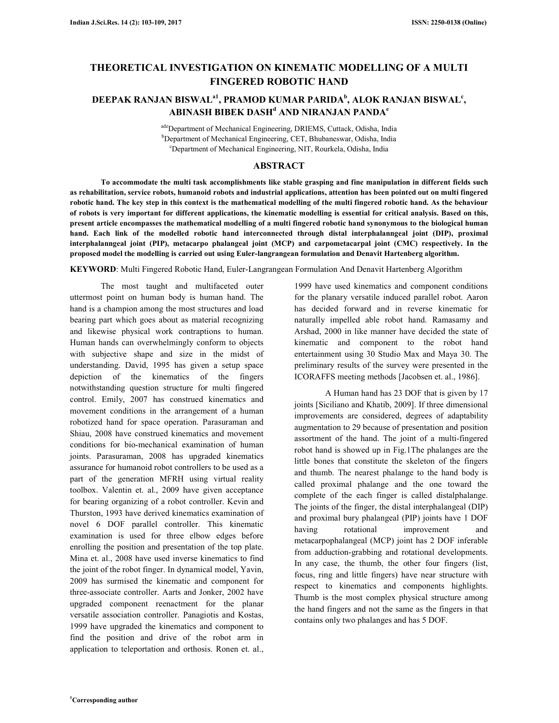# **THEORETICAL INVESTIGATION ON KINEMATIC MODELLING OF A MULTI FINGERED ROBOTIC HAND**

# **DEEPAK RANJAN BISWALa1, PRAMOD KUMAR PARIDA<sup>b</sup> , ALOK RANJAN BISWAL<sup>c</sup> , ABINASH BIBEK DASH<sup>d</sup> AND NIRANJAN PANDA<sup>e</sup>**

adeDepartment of Mechanical Engineering, DRIEMS, Cuttack, Odisha, India <sup>b</sup>Department of Mechanical Engineering, CET, Bhubaneswar, Odisha, India <sup>c</sup>Department of Mechanical Engineering, NIT, Rourkela, Odisha, India

# **ABSTRACT**

**To accommodate the multi task accomplishments like stable grasping and fine manipulation in different fields such as rehabilitation, service robots, humanoid robots and industrial applications, attention has been pointed out on multi fingered robotic hand. The key step in this context is the mathematical modelling of the multi fingered robotic hand. As the behaviour of robots is very important for different applications, the kinematic modelling is essential for critical analysis. Based on this, present article encompasses the mathematical modelling of a multi fingered robotic hand synonymous to the biological human hand. Each link of the modelled robotic hand interconnected through distal interphalanngeal joint (DIP), proximal interphalanngeal joint (PIP), metacarpo phalangeal joint (MCP) and carpometacarpal joint (CMC) respectively. In the proposed model the modelling is carried out using Euler-langrangean formulation and Denavit Hartenberg algorithm.** 

**KEYWORD**: Multi Fingered Robotic Hand, Euler-Langrangean Formulation And Denavit Hartenberg Algorithm

 The most taught and multifaceted outer uttermost point on human body is human hand. The hand is a champion among the most structures and load bearing part which goes about as material recognizing and likewise physical work contraptions to human. Human hands can overwhelmingly conform to objects with subjective shape and size in the midst of understanding. David, 1995 has given a setup space depiction of the kinematics of the fingers notwithstanding question structure for multi fingered control. Emily, 2007 has construed kinematics and movement conditions in the arrangement of a human robotized hand for space operation. Parasuraman and Shiau, 2008 have construed kinematics and movement conditions for bio-mechanical examination of human joints. Parasuraman, 2008 has upgraded kinematics assurance for humanoid robot controllers to be used as a part of the generation MFRH using virtual reality toolbox. Valentin et. al., 2009 have given acceptance for bearing organizing of a robot controller. Kevin and Thurston, 1993 have derived kinematics examination of novel 6 DOF parallel controller. This kinematic examination is used for three elbow edges before enrolling the position and presentation of the top plate. Mina et. al., 2008 have used inverse kinematics to find the joint of the robot finger. In dynamical model, Yavin, 2009 has surmised the kinematic and component for three-associate controller. Aarts and Jonker, 2002 have upgraded component reenactment for the planar versatile association controller. Panagiotis and Kostas, 1999 have upgraded the kinematics and component to find the position and drive of the robot arm in application to teleportation and orthosis. Ronen et. al.,

1999 have used kinematics and component conditions for the planary versatile induced parallel robot. Aaron has decided forward and in reverse kinematic for naturally impelled able robot hand. Ramasamy and Arshad, 2000 in like manner have decided the state of kinematic and component to the robot hand entertainment using 30 Studio Max and Maya 30. The preliminary results of the survey were presented in the ICORAFFS meeting methods [Jacobsen et. al., 1986].

 A Human hand has 23 DOF that is given by 17 joints [Siciliano and Khatib, 2009]. If three dimensional improvements are considered, degrees of adaptability augmentation to 29 because of presentation and position assortment of the hand. The joint of a multi-fingered robot hand is showed up in Fig.1The phalanges are the little bones that constitute the skeleton of the fingers and thumb. The nearest phalange to the hand body is called proximal phalange and the one toward the complete of the each finger is called distalphalange. The joints of the finger, the distal interphalangeal (DIP) and proximal bury phalangeal (PIP) joints have 1 DOF having rotational improvement and metacarpophalangeal (MCP) joint has 2 DOF inferable from adduction-grabbing and rotational developments. In any case, the thumb, the other four fingers (list, focus, ring and little fingers) have near structure with respect to kinematics and components highlights. Thumb is the most complex physical structure among the hand fingers and not the same as the fingers in that contains only two phalanges and has 5 DOF.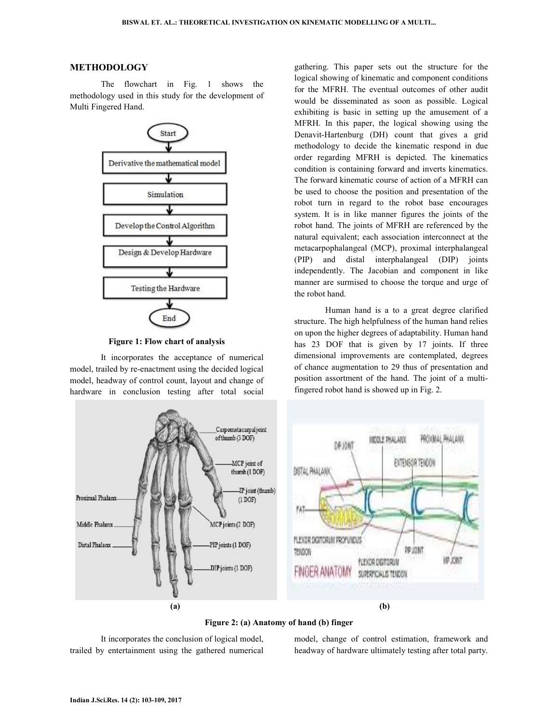## **METHODOLOGY**

 The flowchart in Fig. 1 shows the methodology used in this study for the development of Multi Fingered Hand.



**Figure 1: Flow chart of analysis** 

 It incorporates the acceptance of numerical model, trailed by re-enactment using the decided logical model, headway of control count, layout and change of hardware in conclusion testing after total social

gathering. This paper sets out the structure for the logical showing of kinematic and component conditions for the MFRH. The eventual outcomes of other audit would be disseminated as soon as possible. Logical exhibiting is basic in setting up the amusement of a MFRH. In this paper, the logical showing using the Denavit-Hartenburg (DH) count that gives a grid methodology to decide the kinematic respond in due order regarding MFRH is depicted. The kinematics condition is containing forward and inverts kinematics. The forward kinematic course of action of a MFRH can be used to choose the position and presentation of the robot turn in regard to the robot base encourages system. It is in like manner figures the joints of the robot hand. The joints of MFRH are referenced by the natural equivalent; each association interconnect at the metacarpophalangeal (MCP), proximal interphalangeal (PIP) and distal interphalangeal (DIP) joints independently. The Jacobian and component in like manner are surmised to choose the torque and urge of the robot hand.

Human hand is a to a great degree clarified structure. The high helpfulness of the human hand relies on upon the higher degrees of adaptability. Human hand has 23 DOF that is given by 17 joints. If three dimensional improvements are contemplated, degrees of chance augmentation to 29 thus of presentation and position assortment of the hand. The joint of a multifingered robot hand is showed up in Fig. 2.



**Figure 2: (a) Anatomy of hand (b) finger** 

 It incorporates the conclusion of logical model, trailed by entertainment using the gathered numerical model, change of control estimation, framework and headway of hardware ultimately testing after total party.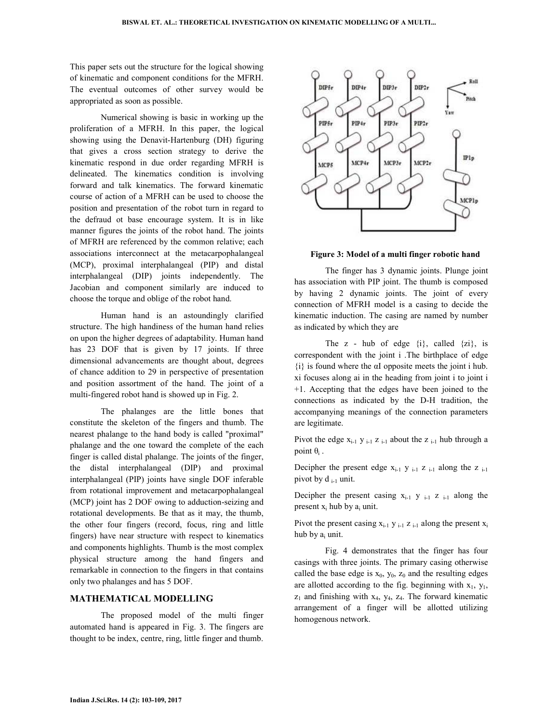This paper sets out the structure for the logical showing of kinematic and component conditions for the MFRH. The eventual outcomes of other survey would be appropriated as soon as possible.

 Numerical showing is basic in working up the proliferation of a MFRH. In this paper, the logical showing using the Denavit-Hartenburg (DH) figuring that gives a cross section strategy to derive the kinematic respond in due order regarding MFRH is delineated. The kinematics condition is involving forward and talk kinematics. The forward kinematic course of action of a MFRH can be used to choose the position and presentation of the robot turn in regard to the defraud ot base encourage system. It is in like manner figures the joints of the robot hand. The joints of MFRH are referenced by the common relative; each associations interconnect at the metacarpophalangeal (MCP), proximal interphalangeal (PIP) and distal interphalangeal (DIP) joints independently. The Jacobian and component similarly are induced to choose the torque and oblige of the robot hand.

 Human hand is an astoundingly clarified structure. The high handiness of the human hand relies on upon the higher degrees of adaptability. Human hand has 23 DOF that is given by 17 joints. If three dimensional advancements are thought about, degrees of chance addition to 29 in perspective of presentation and position assortment of the hand. The joint of a multi-fingered robot hand is showed up in Fig. 2.

 The phalanges are the little bones that constitute the skeleton of the fingers and thumb. The nearest phalange to the hand body is called "proximal" phalange and the one toward the complete of the each finger is called distal phalange. The joints of the finger, the distal interphalangeal (DIP) and proximal interphalangeal (PIP) joints have single DOF inferable from rotational improvement and metacarpophalangeal (MCP) joint has 2 DOF owing to adduction-seizing and rotational developments. Be that as it may, the thumb, the other four fingers (record, focus, ring and little fingers) have near structure with respect to kinematics and components highlights. Thumb is the most complex physical structure among the hand fingers and remarkable in connection to the fingers in that contains only two phalanges and has 5 DOF.

### **MATHEMATICAL MODELLING**

 The proposed model of the multi finger automated hand is appeared in Fig. 3. The fingers are thought to be index, centre, ring, little finger and thumb.



**Figure 3: Model of a multi finger robotic hand** 

 The finger has 3 dynamic joints. Plunge joint has association with PIP joint. The thumb is composed by having 2 dynamic joints. The joint of every connection of MFRH model is a casing to decide the kinematic induction. The casing are named by number as indicated by which they are

The z - hub of edge  $\{i\}$ , called  $\{zi\}$ , is correspondent with the joint i .The birthplace of edge {i} is found where the αI opposite meets the joint i hub. xi focuses along ai in the heading from joint i to joint i +1. Accepting that the edges have been joined to the connections as indicated by the D-H tradition, the accompanying meanings of the connection parameters are legitimate.

Pivot the edge  $x_{i-1}$  y  $_{i-1}$  z  $_{i-1}$  about the z  $_{i-1}$  hub through a  $point$  θ<sub>i</sub>.

Decipher the present edge  $x_{i-1}$  y  $_{i-1}$  z  $_{i-1}$  along the z  $_{i-1}$ pivot by  $d_{i-1}$  unit.

Decipher the present casing  $x_{i-1}$  y  $_{i-1}$  z  $_{i-1}$  along the present  $x_i$  hub by  $a_i$  unit.

Pivot the present casing  $x_{i-1}$  y  $_{i-1}$  z  $_{i-1}$  along the present  $x_i$ hub by a<sub>i</sub> unit.

 Fig. 4 demonstrates that the finger has four casings with three joints. The primary casing otherwise called the base edge is  $x_0$ ,  $y_0$ ,  $z_0$  and the resulting edges are allotted according to the fig. beginning with  $x_1$ ,  $y_1$ ,  $z_1$  and finishing with  $x_4$ ,  $y_4$ ,  $z_4$ . The forward kinematic arrangement of a finger will be allotted utilizing homogenous network.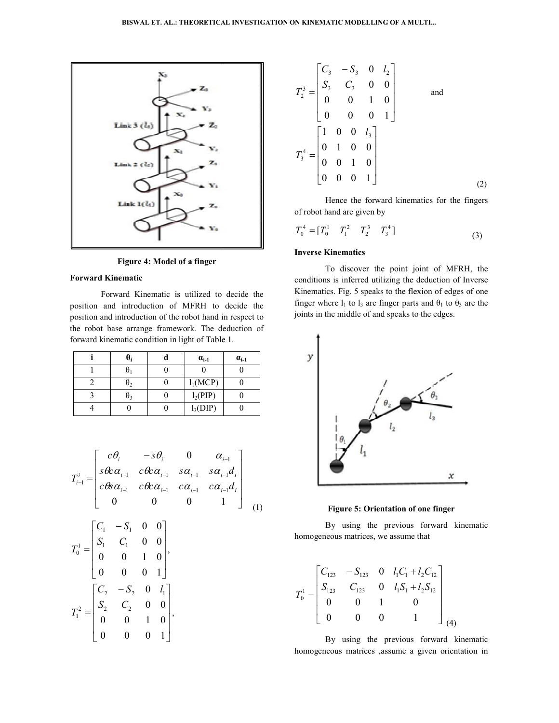

**Figure 4: Model of a finger**

## **Forward Kinematic**

Forward Kinematic is utilized to decide the position and introduction of MFRH to decide the position and introduction of the robot hand in respect to the robot base arrange framework. The deduction of forward kinematic condition in light of Table 1. position and introduction of MFRH to decide<br>position and introduction of the robot hand in respear<br>the robot base arrange framework. The deduction<br>forward kinematic condition in light of Table 1.

| $\theta_i$ | $a_{i-1}$  | $a_{i-1}$ |
|------------|------------|-----------|
|            |            |           |
| $\theta_2$ | $l_1(MCP)$ |           |
| $\theta_3$ | $l_2(PIP)$ |           |
|            | $l_3(DIP)$ |           |

$$
T_{i-1}^{i} = \begin{bmatrix} c\theta_{i} & -s\theta_{i} & 0 & \alpha_{i-1} \\ s\theta c\alpha_{i-1} & c\theta c\alpha_{i-1} & s\alpha_{i-1} & s\alpha_{i-1}d_{i} \\ c\theta s\alpha_{i-1} & c\theta c\alpha_{i-1} & c\alpha_{i-1} & c\alpha_{i-1}d_{i} \\ 0 & 0 & 0 & 1 \end{bmatrix}
$$
  
\n
$$
T_{0}^{1} = \begin{bmatrix} C_{1} & -S_{1} & 0 & 0 \\ S_{1} & C_{1} & 0 & 0 \\ 0 & 0 & 1 & 0 \\ 0 & 0 & 0 & 1 \end{bmatrix},
$$
  
\n
$$
T_{1}^{2} = \begin{bmatrix} C_{2} & -S_{2} & 0 & l_{1} \\ S_{2} & C_{2} & 0 & 0 \\ 0 & 0 & 1 & 0 \\ 0 & 0 & 0 & 1 \end{bmatrix},
$$

 $0 \t 0 \t 0 \t 1$ 

L

$$
T_2^3 = \begin{bmatrix} C_3 & -S_3 & 0 & l_2 \\ S_3 & C_3 & 0 & 0 \\ 0 & 0 & 1 & 0 \\ 0 & 0 & 0 & 1 \end{bmatrix} \text{ and}
$$
  

$$
T_3^4 = \begin{bmatrix} 1 & 0 & 0 & l_3 \\ 0 & 1 & 0 & 0 \\ 0 & 0 & 1 & 0 \\ 0 & 0 & 0 & 1 \end{bmatrix}
$$
 (2)

Hence the forward kinematics for the fingers<br>hand are given by<br> $T_1^1$   $T_1^2$   $T_2^3$   $T_3^4$ ] (3) of robot hand are given by

$$
T_0^4 = [T_0^1 \quad T_1^2 \quad T_2^3 \quad T_3^4]
$$
 (3)

#### **Inverse Kinematics**

To discover the point joint of MFRH, the conditions is inferred utilizing the deduction of Inverse Kinematics. Fig. 5 speaks to the flexion of edges of one finger where  $l_1$  to  $l_3$  are finger parts and  $\theta_1$  to  $\theta_3$  are the joints in the middle of and speaks to the edges. To discover the p<br>ns is inferred utilizin<br>ics. Fig. 5 speaks to



#### Figure 5: Orientation of one finger

 By using the previous forward kinematic homogeneous matrices, we assume that

$$
T_0^1 = \begin{bmatrix} C_{123} & -S_{123} & 0 & l_1C_1 + l_2C_{12} \\ S_{123} & C_{123} & 0 & l_1S_1 + l_2S_{12} \\ 0 & 0 & 1 & 0 \\ 0 & 0 & 0 & 1 \end{bmatrix}_{(4)}
$$

By using the previous forward kinematic By homogeneous matrices ,assume a given orientation in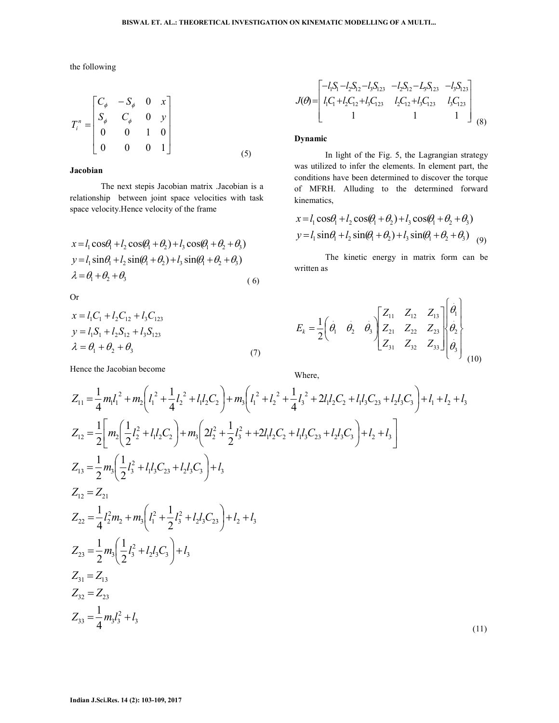the following

$$
T_i^n = \begin{bmatrix} C_{\phi} & -S_{\phi} & 0 & x \\ S_{\phi} & C_{\phi} & 0 & y \\ 0 & 0 & 1 & 0 \\ 0 & 0 & 0 & 1 \end{bmatrix}
$$
 (5)

## **Jacobian**

 The next stepis Jacobian matrix .Jacobian is a relationship between joint space velocities with task space velocity.Hence velocity of the frame

$$
x = l_1 \cos\theta_1 + l_2 \cos(\theta_1 + \theta_2) + l_3 \cos(\theta_1 + \theta_2 + \theta_3)
$$
  
\n
$$
y = l_1 \sin\theta_1 + l_2 \sin(\theta_1 + \theta_2) + l_3 \sin(\theta_1 + \theta_2 + \theta_3)
$$
  
\n
$$
\lambda = \theta_1 + \theta_2 + \theta_3
$$
 (6)

Or

$$
x = l_1 C_1 + l_2 C_{12} + l_3 C_{123}
$$
  
\n
$$
y = l_1 S_1 + l_2 S_{12} + l_3 S_{123}
$$
  
\n
$$
\lambda = \theta_1 + \theta_2 + \theta_3
$$
 (7)

Hence the Jacobian become

$$
J(\theta) = \begin{bmatrix} -l_1 S_1 - l_2 S_{12} - l_3 S_{123} & -l_2 S_{12} - L_3 S_{123} & -l_3 S_{123} \\ l_1 C_1 + l_2 C_{12} + l_3 C_{123} & l_2 C_{12} + l_3 C_{123} & l_3 C_{123} \\ 1 & 1 & 1 \end{bmatrix}_{(8)}
$$

### **Dynamic**

 In light of the Fig. 5, the Lagrangian strategy was utilized to infer the elements. In element part, the conditions have been determined to discover the torque of MFRH. Alluding to the determined forward kinematics,

$$
x = l_1 \cos\theta_1 + l_2 \cos(\theta_1 + \theta_2) + l_3 \cos(\theta_1 + \theta_2 + \theta_3)
$$
  
\n
$$
y = l_1 \sin\theta_1 + l_2 \sin(\theta_1 + \theta_2) + l_3 \sin(\theta_1 + \theta_2 + \theta_3)
$$
 (9)

 The kinetic energy in matrix form can be written as

$$
E_k = \frac{1}{2} \begin{pmatrix} \dot{\theta}_1 & \dot{\theta}_2 & \dot{\theta}_3 \end{pmatrix} \begin{bmatrix} Z_{11} & Z_{12} & Z_{13} \\ Z_{21} & Z_{22} & Z_{23} \\ Z_{31} & Z_{32} & Z_{33} \end{bmatrix} \begin{bmatrix} \dot{\theta}_1 \\ \dot{\theta}_2 \\ \dot{\theta}_3 \end{bmatrix}
$$
(10)

Where,

$$
Z_{11} = \frac{1}{4} m_l l_1^2 + m_2 \left( l_1^2 + \frac{1}{4} l_2^2 + l_1 l_2 C_2 \right) + m_3 \left( l_1^2 + l_2^2 + \frac{1}{4} l_3^2 + 2 l_1 l_2 C_2 + l_1 l_3 C_{23} + l_2 l_3 C_3 \right) + l_1 + l_2 + l_3
$$
  
\n
$$
Z_{12} = \frac{1}{2} \left[ m_2 \left( \frac{1}{2} l_2^2 + l_1 l_2 C_2 \right) + m_3 \left( 2 l_2^2 + \frac{1}{2} l_3^2 + 2 l_1 l_2 C_2 + l_1 l_3 C_{23} + l_2 l_3 C_3 \right) + l_2 + l_3 \right]
$$
  
\n
$$
Z_{13} = \frac{1}{2} m_3 \left( \frac{1}{2} l_3^2 + l_1 l_3 C_{23} + l_2 l_3 C_3 \right) + l_3
$$
  
\n
$$
Z_{12} = Z_{21}
$$
  
\n
$$
Z_{22} = \frac{1}{4} l_2^2 m_2 + m_3 \left( l_1^2 + \frac{1}{2} l_3^2 + l_2 l_3 C_{23} \right) + l_2 + l_3
$$
  
\n
$$
Z_{23} = \frac{1}{2} m_3 \left( \frac{1}{2} l_3^2 + l_2 l_3 C_3 \right) + l_3
$$
  
\n
$$
Z_{31} = Z_{13}
$$
  
\n
$$
Z_{32} = Z_{23}
$$
  
\n
$$
Z_{33} = \frac{1}{4} m_3 l_3^2 + l_3
$$
  
\n(11)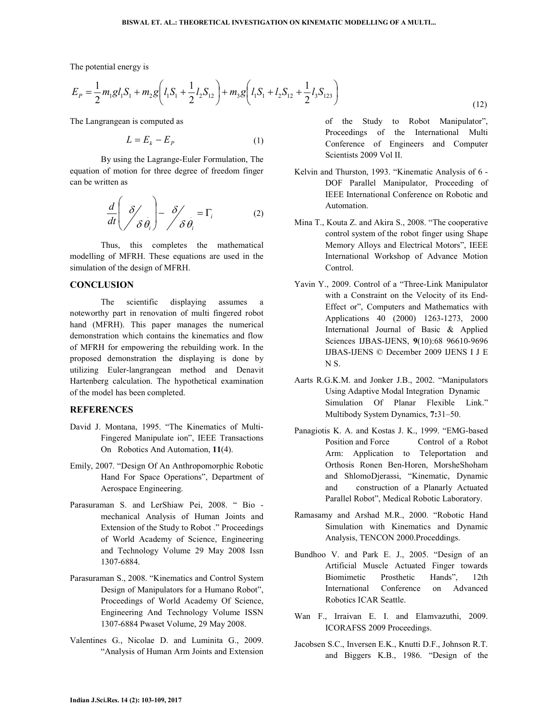The potential energy is

$$
E_P = \frac{1}{2} m_1 g l_1 S_1 + m_2 g \left( l_1 S_1 + \frac{1}{2} l_2 S_{12} \right) + m_3 g \left( l_1 S_1 + l_2 S_{12} + \frac{1}{2} l_3 S_{123} \right)
$$

The Langrangean is computed as

$$
L = E_k - E_p \tag{1}
$$

 By using the Lagrange-Euler Formulation, The equation of motion for three degree of freedom finger can be written as

$$
\frac{d}{dt} \left( \frac{\delta}{\delta \dot{\theta}_i} \right) - \frac{\delta}{\delta \dot{\theta}_i} = \Gamma_i \tag{2}
$$

 Thus, this completes the mathematical modelling of MFRH. These equations are used in the simulation of the design of MFRH.

## **CONCLUSION**

 The scientific displaying assumes a noteworthy part in renovation of multi fingered robot hand (MFRH). This paper manages the numerical demonstration which contains the kinematics and flow of MFRH for empowering the rebuilding work. In the proposed demonstration the displaying is done by utilizing Euler-langrangean method and Denavit Hartenberg calculation. The hypothetical examination of the model has been completed.

## **REFERENCES**

- David J. Montana, 1995. "The Kinematics of Multi-Fingered Manipulate ion", IEEE Transactions On Robotics And Automation, **11**(4).
- Emily, 2007. "Design Of An Anthropomorphic Robotic Hand For Space Operations", Department of Aerospace Engineering.
- Parasuraman S. and LerShiaw Pei, 2008. " Bio mechanical Analysis of Human Joints and Extension of the Study to Robot ." Proceedings of World Academy of Science, Engineering and Technology Volume 29 May 2008 Issn 1307-6884.
- Parasuraman S., 2008. "Kinematics and Control System Design of Manipulators for a Humano Robot", Proceedings of World Academy Of Science, Engineering And Technology Volume ISSN 1307-6884 Pwaset Volume, 29 May 2008.
- Valentines G., Nicolae D. and Luminita G., 2009. "Analysis of Human Arm Joints and Extension

of the Study to Robot Manipulator", Proceedings of the International Multi Conference of Engineers and Computer Scientists 2009 Vol II.

- Kelvin and Thurston, 1993. "Kinematic Analysis of 6 DOF Parallel Manipulator, Proceeding of IEEE International Conference on Robotic and Automation.
- Mina T., Kouta Z. and Akira S., 2008. "The cooperative control system of the robot finger using Shape Memory Alloys and Electrical Motors", IEEE International Workshop of Advance Motion Control.
- Yavin Y., 2009. Control of a "Three-Link Manipulator with a Constraint on the Velocity of its End-Effect or", Computers and Mathematics with Applications 40 (2000) 1263-1273, 2000 International Journal of Basic & Applied Sciences IJBAS-IJENS, **9**(10):68 96610-9696 IJBAS-IJENS © December 2009 IJENS I J E N S.
- Aarts R.G.K.M. and Jonker J.B., 2002. "Manipulators Using Adaptive Modal Integration Dynamic Simulation Of Planar Flexible Link." Multibody System Dynamics, **7:**31–50.
- Panagiotis K. A. and Kostas J. K., 1999. "EMG-based Position and Force Control of a Robot Arm: Application to Teleportation and Orthosis Ronen Ben-Horen, MorsheShoham and ShlomoDjerassi, "Kinematic, Dynamic and construction of a Planarly Actuated Parallel Robot", Medical Robotic Laboratory.
- Ramasamy and Arshad M.R., 2000. "Robotic Hand Simulation with Kinematics and Dynamic Analysis, TENCON 2000.Proceddings.
- Bundhoo V. and Park E. J., 2005. "Design of an Artificial Muscle Actuated Finger towards Biomimetic Prosthetic Hands", 12th International Conference on Advanced Robotics ICAR Seattle.
- Wan F., Irraivan E. I. and Elamvazuthi, 2009. ICORAFSS 2009 Proceedings.
- Jacobsen S.C., Inversen E.K., Knutti D.F., Johnson R.T. and Biggers K.B., 1986. "Design of the

 $(12)$